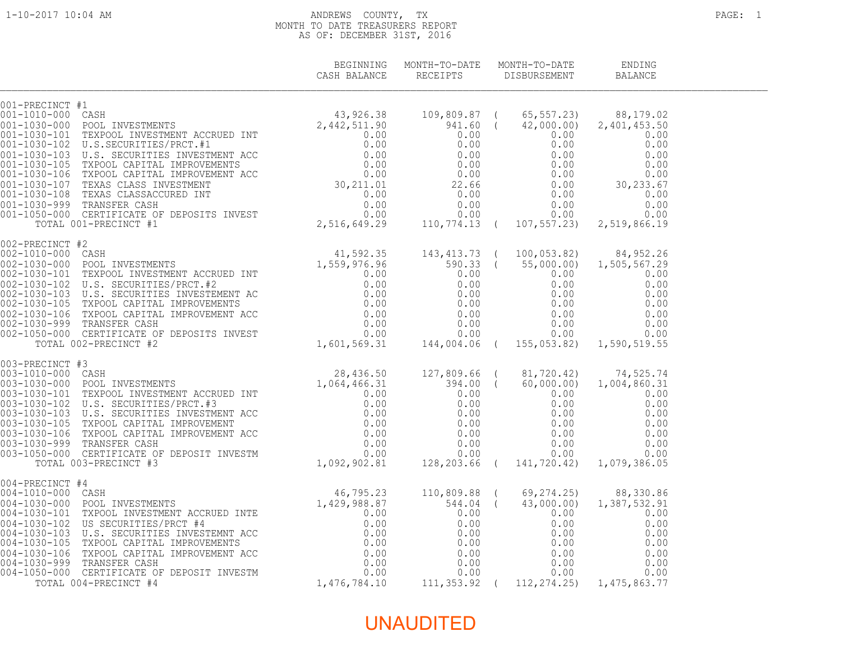#### 1-10-2017 10:04 AM ANDREWS COUNTY, TX PAGE: 1 MONTH TO DATE TREASURERS REPORT AS OF: DECEMBER 31ST, 2016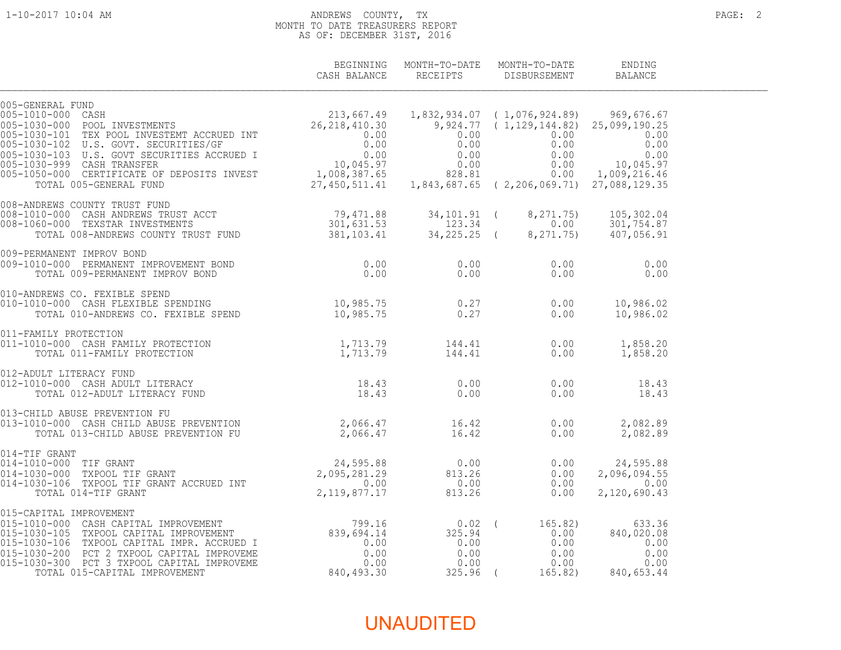#### 1-10-2017 10:04 AM ANDREWS COUNTY, TX PAGE: 2 MONTH TO DATE TREASURERS REPORT AS OF: DECEMBER 31ST, 2016

|                                                                                                                                                                                                                                                                                                    | CASH BALANCE | BEGINNING MONTH-TO-DATE MONTH-TO-DATE<br>RECEIPTS DISBURSEMENT | ENDING<br><b>BALANCE</b> |  |
|----------------------------------------------------------------------------------------------------------------------------------------------------------------------------------------------------------------------------------------------------------------------------------------------------|--------------|----------------------------------------------------------------|--------------------------|--|
| $\begin{array}{cccccc} 005-\texttt{GENERAL FUND} & 213,667.49 & 1,832,934.07 & (1,076,924.89) & 969,676.67\\ 005-1010-000 & \texttt{COSH} & 26,218,410.30 & 9,924.77 & (1,129,144.82) & 25,099,190.25\\ 005-1030-101 & \texttt{TEX POOL INVESTMENT} & 26,218,410.30 & 9,924.77 & (1,129,144.82) &$ |              |                                                                |                          |  |
|                                                                                                                                                                                                                                                                                                    |              |                                                                |                          |  |
|                                                                                                                                                                                                                                                                                                    |              |                                                                |                          |  |
|                                                                                                                                                                                                                                                                                                    |              |                                                                |                          |  |
|                                                                                                                                                                                                                                                                                                    |              |                                                                |                          |  |
|                                                                                                                                                                                                                                                                                                    |              |                                                                |                          |  |
|                                                                                                                                                                                                                                                                                                    |              |                                                                |                          |  |
|                                                                                                                                                                                                                                                                                                    |              |                                                                |                          |  |
|                                                                                                                                                                                                                                                                                                    |              |                                                                |                          |  |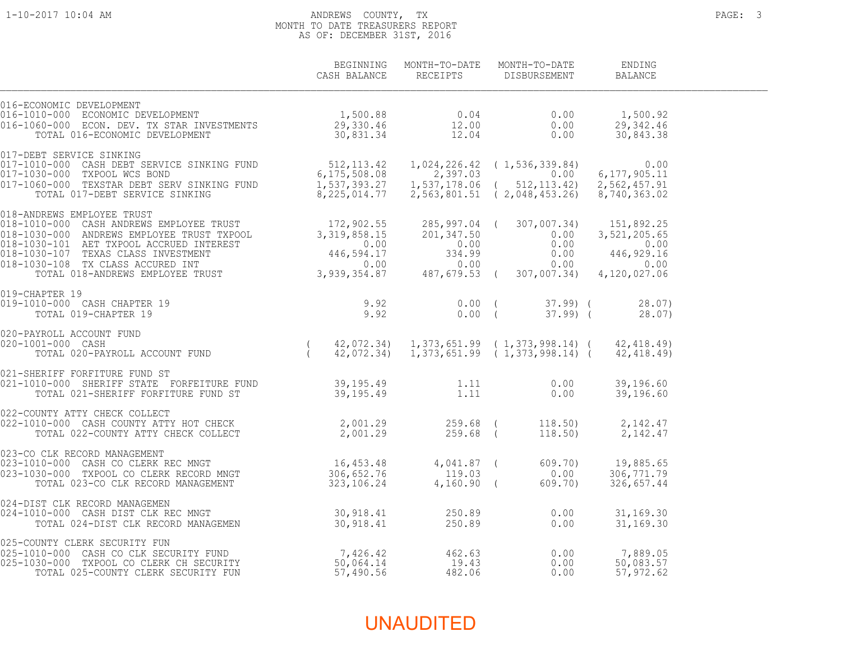#### 1-10-2017 10:04 AM ANDREWS COUNTY, TX PAGE: 3 MONTH TO DATE TREASURERS REPORT AS OF: DECEMBER 31ST, 2016

|                                                                                                                                                                                                                                            |  | BEGINNING MONTH-TO-DATE MONTH-TO-DATE<br>CASH BALANCE RECEIPTS DISBURSEMENT BALANCE | ENDING |  |
|--------------------------------------------------------------------------------------------------------------------------------------------------------------------------------------------------------------------------------------------|--|-------------------------------------------------------------------------------------|--------|--|
|                                                                                                                                                                                                                                            |  |                                                                                     |        |  |
|                                                                                                                                                                                                                                            |  |                                                                                     |        |  |
|                                                                                                                                                                                                                                            |  |                                                                                     |        |  |
| 019-CHAPTER 19<br>019-1010-000 CASH CHAPTER 19 9.92<br>TOTAL 019-CHAPTER 19 9.92                                                                                                                                                           |  | 0.00 (37.99) (28.07)<br>0.00 (37.99) (28.07)                                        |        |  |
| 020-PAYROLL ACCOUNT FUND<br>020-1001-000 CASH (2,072.34) 1,373,651.99 (1,373,998.14) (42,418.49)<br>TOTAL 020-PAYROLL ACCOUNT FUND (42,072.34) 1,373,651.99 (1,373,998.14) (42,418.49)<br>021-SHERIFF FORFITURE FUND ST (39,195.49 1       |  |                                                                                     |        |  |
|                                                                                                                                                                                                                                            |  |                                                                                     |        |  |
| 022-COUNTY ATTY CHECK COLLECT<br>022-1010-000 CASH COUNTY ATTY HOT CHECK                          2,001.29           259.68 (       118.50)       2,142.47<br>TOTAL 022-COUNTY ATTY CHECK COLLECT                               2,         |  |                                                                                     |        |  |
| 023-CO CLK RECORD MANAGEMENT<br>023-1010-000 CASH CO CLERK REC MNGT 16,453.48 4,041.87 (609.70) 19,885.65<br>023-1030-000 TXPOOL CO CLERK RECORD MNGT 306,652.76 119.03 0.00 306,771.79<br>TOTAL 023-CO CLK RECORD MANAGEMENT 323,10       |  |                                                                                     |        |  |
|                                                                                                                                                                                                                                            |  |                                                                                     |        |  |
| 024-DIST CLK RECORD MANAGEMEN<br>024-DIST CLK RECORD MANAGEMEN<br>025-COUNTY CLERK SECURITY FUN<br>025-COUNTY CLERK SECURITY FUN<br>025-1010-000 CASH CO CLERK CH SECURITY FUN<br>025-1010-000 CASH CO CLERK CH SECURITY<br>025-1010-000 C |  |                                                                                     |        |  |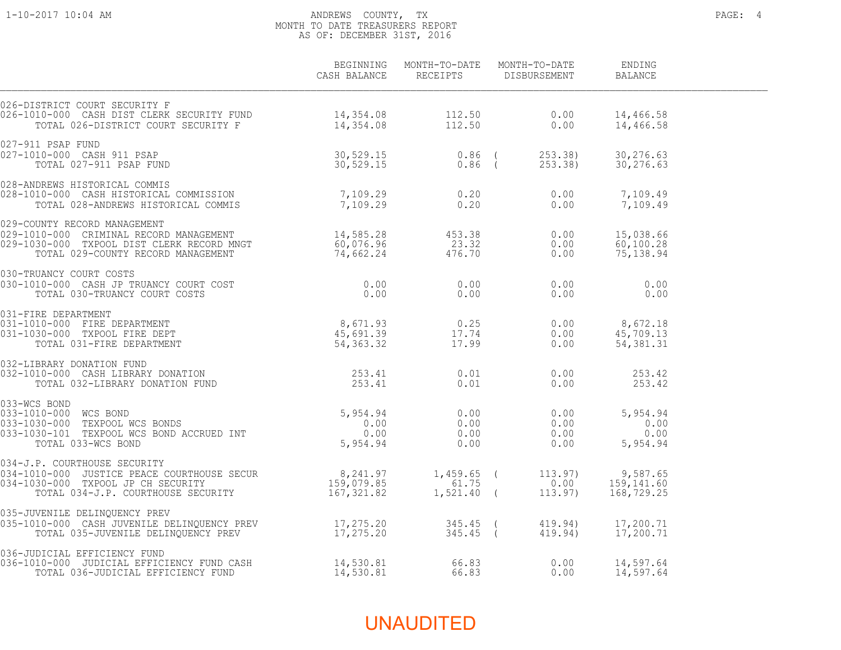#### 1-10-2017 10:04 AM ANDREWS COUNTY, TX PAGE: 4 MONTH TO DATE TREASURERS REPORT AS OF: DECEMBER 31ST, 2016

|                                                                                                                                                                                                                                                                                                                         | CASH BALANCE | BEGINNING MONTH-TO-DATE MONTH-TO-DATE<br>RECEIPTS DISBURSEMENT | ENDING<br>BALANCE      |  |
|-------------------------------------------------------------------------------------------------------------------------------------------------------------------------------------------------------------------------------------------------------------------------------------------------------------------------|--------------|----------------------------------------------------------------|------------------------|--|
| 026-DISTRICT COURT SECURITY F<br>026-1010-000 CASH DIST CLERK SECURITY FUND<br>026-1010-000 CASH DIST CLERK SECURITY FUND<br>TOTAL 026-DISTRICT COURT SECURITY F 14,354.08 112.50 0.00                                                                                                                                  |              |                                                                | 14,466.58<br>14,466.58 |  |
|                                                                                                                                                                                                                                                                                                                         |              |                                                                |                        |  |
| 028-ANDREWS HISTORICAL COMMIS<br>028-1010-000 CASH HISTORICAL COMMISSION 7,109.29 0.20 0.20 0.00 7,109.49<br>TOTAL 028-ANDREWS HISTORICAL COMMIS 7,109.29 0.20 0.20 0.00 7,109.49                                                                                                                                       |              |                                                                |                        |  |
| 029-COUNTY RECORD MANAGEMENT<br>029-1010-000 CRIMINAL RECORD MANAGEMENT 14,585.28 453.38 0.00 15,038.66<br>029-1030-000 TXPOOL DIST CLERK RECORD MNGT 60,076.96 23.32 0.00 60,100.28<br>TOTAL 029-COUNTY RECORD MANAGEMENT 74,662.24                                                                                    |              |                                                                |                        |  |
|                                                                                                                                                                                                                                                                                                                         |              |                                                                |                        |  |
| 030-TRUANCY COURT COSTS<br>030-1010-000 CASH JP TRUANCY COURT COST<br>1300-TRUANCY COURT COSTS<br>030-1010-000 CASH JP TRUANCY COURT COSTS<br>031-1010-000 FIRE DEPARTMENT<br>031-1010-000 FIRE DEPARTMENT<br>031-1030-000 TXPOOL FIRE DEP                                                                              |              |                                                                |                        |  |
| 032-LIBRARY DONATION FUND<br>032-1010-000 CASH LIBRARY DONATION<br>TOTAL 032-LIBRARY DONATION FUND<br>253.41 0.01 0.00<br>0.01 0.00                                                                                                                                                                                     |              |                                                                | 253.42<br>253.42       |  |
| $\begin{array}{cccccc} 033-000 & \text{TEXPOOL} & 5,954.94 & 0.00 & 0.00 & 5,954.94 \\ 033-1030-000 & \text{TEXPOOL} & \text{WCS BOND} & 0.00 & 0.00 & 0.00 & 0.00 & 0.00 \\ 033-1030-101 & \text{TEXPOOL} & \text{WCS BOND} & 0.00 & 0.00 & 0.00 & 0.00 & 0.00 \\ 033-1030-010 & \text{TEXPOOL} & \text{WEBOND} & 0.0$ |              |                                                                |                        |  |
|                                                                                                                                                                                                                                                                                                                         |              |                                                                |                        |  |
| 035-JUVENILE DELINQUENCY PREV<br>035-1010-000 CASH JUVENILE DELINQUENCY PREV 17,275.20 345.45 (419.94) 17,200.71<br>TOTAL 035-JUVENILE DELINQUENCY PREV 17,275.20 345.45 (419.94) 17,200.71                                                                                                                             |              |                                                                |                        |  |
|                                                                                                                                                                                                                                                                                                                         |              |                                                                | 14,597.64<br>14,597.64 |  |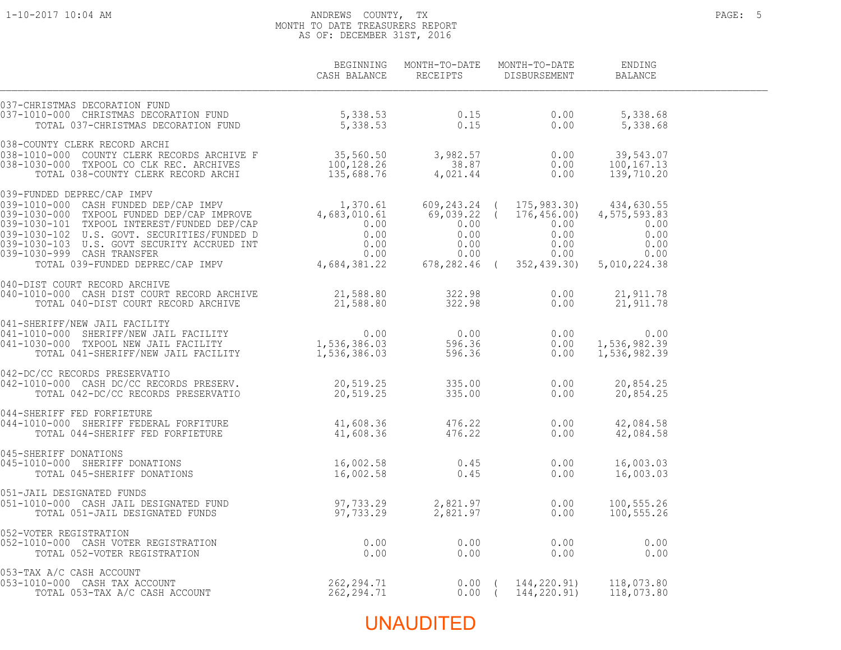#### 1-10-2017 10:04 AM ANDREWS COUNTY, TX PAGE: 5 MONTH TO DATE TREASURERS REPORT AS OF: DECEMBER 31ST, 2016

|                                                                                                                                                                                                                                                                                                                                           | CASH BALANCE | BEGINNING MONTH-TO-DATE MONTH-TO-DATE<br>RECEIPTS DISBURSEMENT | ENDING<br>BALANCE        |  |
|-------------------------------------------------------------------------------------------------------------------------------------------------------------------------------------------------------------------------------------------------------------------------------------------------------------------------------------------|--------------|----------------------------------------------------------------|--------------------------|--|
| 037-CHRISTMAS DECORATION FUND<br>037-1010-000 CHRISTMAS DECORATION FUND 5,338.53 0.15 0.00 5,338.68<br>TOTAL 037-CHRISTMAS DECORATION FUND 5,338.53 0.15 0.00 5,338.68                                                                                                                                                                    |              |                                                                |                          |  |
| 1992 - 1994<br>1994 - 1994 - 1994 - 1994 - 1994 - 1994 - 1994 - 1994 - 1994 - 1994 - 1994 - 1994 - 1994 - 1994 - 1994<br>1996 - 1997 - 1997 - 1997 - 1997 - 1997 - 1998 - 1997 - 1997 - 1998 - 1998 - 1999 - 1999 - 1999 - 1999 -                                                                                                         |              |                                                                |                          |  |
| $\begin{array}{cccccc} 039-\text{FUNDED DEPREC/CAP & \text{IMPV} & & & 1,370.61 & 609,243.24 & ( & 175,983.30) & 434,630.55 \\ 039-1010-000 & \text{CASH FUNDED DEP/CAP & \text{IMPROV} & & & 1,370.61 & 609,243.24 & ( & 175,983.30) & 434,630.55 \\ 039-1030-000 & \text{TXPOOL FUNDED DEP/CAP & \text{IMPROVEN} & & & & 0.00 & 0.00 &$ |              |                                                                |                          |  |
| 040-DIST COURT RECORD ARCHIVE                                                                                                                                                                                                                                                                                                             |              |                                                                |                          |  |
| 040-DIST COURT RECORD ARCHIVE<br>040-1010-000 CASH DIST COURT RECORD ARCHIVE<br>TOTAL 040-DIST COURT RECORD ARCHIVE<br>0.00 21,911.78<br>0.00 21,911.78<br>0.00 21,911.78<br>0.00 21,911.78<br>0.00 21,911.78<br>0.00 21,911.78<br>0.00 21,911.7                                                                                          |              |                                                                |                          |  |
|                                                                                                                                                                                                                                                                                                                                           |              |                                                                |                          |  |
| 042-DC/CC RECORDS PRESERVATIO<br>042-DC/CC RECORDS PRESERVATIO<br>042-1010-000 CASH DC/CC RECORDS PRESERVATIO<br>044-5HERIFF FED FORFIETURE<br>044-1010-000 SHERIFF FEDERAL FORFITURE<br>044-1010-000 SHERIFF FEDERAL FORFITURE<br>044-101                                                                                                |              |                                                                |                          |  |
| 045-SHERIFF DONATIONS<br>045-1010-000 SHERIFF DONATIONS<br>TOTAL 045-SHERIFF DONATIONS<br>16,002.58<br>16,002.58<br>16,002.58<br>0.45<br>0.00<br>16,003.03                                                                                                                                                                                |              |                                                                |                          |  |
|                                                                                                                                                                                                                                                                                                                                           |              |                                                                | 100,555.26<br>100,555.26 |  |
|                                                                                                                                                                                                                                                                                                                                           |              |                                                                |                          |  |
|                                                                                                                                                                                                                                                                                                                                           |              |                                                                |                          |  |
|                                                                                                                                                                                                                                                                                                                                           |              |                                                                |                          |  |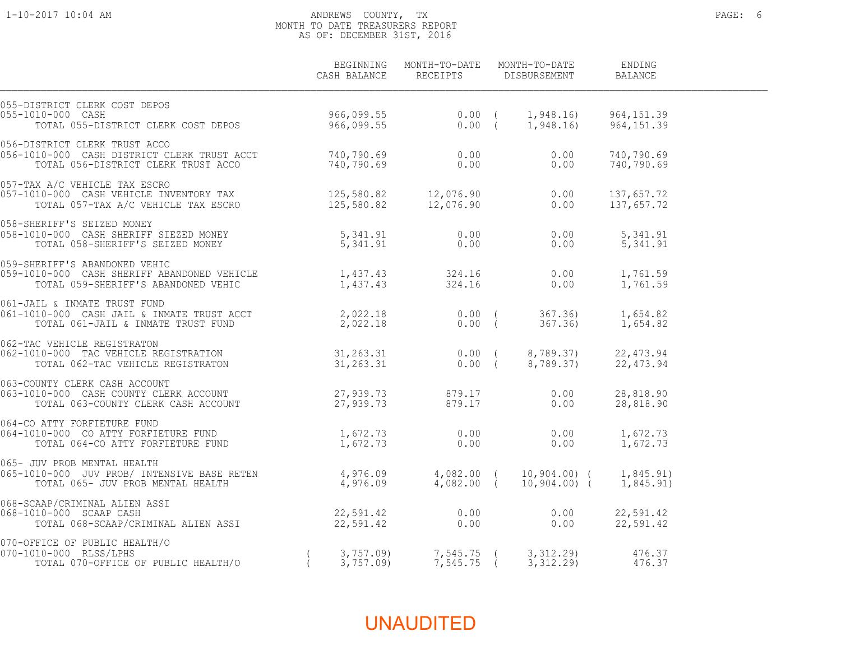#### 1-10-2017 10:04 AM ANDREWS COUNTY, TX PAGE: 6 MONTH TO DATE TREASURERS REPORT AS OF: DECEMBER 31ST, 2016

|                                                                                                                                                                                                                               | CASH BALANCE         | BEGINNING MONTH-TO-DATE MONTH-TO-DATE<br>RECEIPTS DISBURSEMENT |                                                        | ENDING<br><b>BALANCE</b> |  |
|-------------------------------------------------------------------------------------------------------------------------------------------------------------------------------------------------------------------------------|----------------------|----------------------------------------------------------------|--------------------------------------------------------|--------------------------|--|
| 055-DISTRICT CLERK COST DEPOS<br>055-1010-000 CASH<br>TOTAL 055-DISTRICT CLERK COST DEPOS                                                                                                                                     |                      |                                                                |                                                        |                          |  |
|                                                                                                                                                                                                                               |                      |                                                                | 0.00<br>0.00                                           | 740,790.69<br>740,790.69 |  |
|                                                                                                                                                                                                                               |                      |                                                                |                                                        | 137,657.72<br>137,657.72 |  |
| 058-SHERIFF'S SEIZED MONEY<br>058-1010-000 CASH SHERIFF SIEZED MONEY                            5,341.91                                   0.00<br>TOTAL 058-SHERIFF'S SEIZED MONEY                                 5,341.91  |                      |                                                                |                                                        | 5, 341.91<br>5,341.91    |  |
| 059-SHERIFF'S ABANDONED VEHIC<br>059-1010-000 CASH SHERIFF ABANDONED VEHICLE 1,437.43 324.16 0.00<br>TOTAL 059-SHERIFF'S ABANDONED VEHIC 1,437.43 324.16 0.00                                                                 |                      |                                                                |                                                        | 1,761.59<br>1,761.59     |  |
| 061-JAIL & INMATE TRUST FUND<br>061-1010-000 CASH JAIL & INMATE TRUST ACCT                       2,022.18                0.00  (        367.36)        1,654.82<br>TOTAL 061-JAIL & INMATE TRUST FUND                         |                      |                                                                |                                                        |                          |  |
| 062-TAC VEHICLE REGISTRATON<br>062-1010-000 TAC VEHICLE REGISTRATION                                 31,263.31                 0.00 (     8,789.37)       22,473.94<br>TOTAL 062-TAC VEHICLE REGISTRATON                      |                      |                                                                |                                                        |                          |  |
| 063-COUNTY CLERK CASH ACCOUNT<br>063-1010-000 CASH COUNTY CLERK ACCOUNT 27,939.73 879.17<br>TOTAL 063-COUNTY CLERK CASH ACCOUNT 27,939.73 879.17                                                                              |                      |                                                                | 0.00<br>0.00                                           | 28,818.90<br>28,818.90   |  |
| 064-CO ATTY FORFIETURE FUND<br>064-1010-000 CO ATTY FORFIETURE FUND 1,672.73 0.00<br>TOTAL 064-CO ATTY FORFIETURE FUND 1,672.73 0.00                                                                                          |                      | 0.00                                                           | 0.00<br>0.00                                           | 1,672.73<br>1,672.73     |  |
| 065- JUV PROB MENTAL HEALTH<br>065-000 FROB MENTAL HEALTH<br>065-1010-000 JUV PROB/INTENSIVE BASE RETEN 4,976.09 4,082.00 (10,904.00) (1,845.91)<br>TOTAL 065-JUV PROB MENTAL HEALTH 4,976.09 4,082.00 (10,904.00) (1,845.91) |                      |                                                                |                                                        |                          |  |
| 068-SCAAP/CRIMINAL ALIEN ASSI<br>068-1010-000 SCAAP CASH                                                                                                                                                                      |                      |                                                                | 0.00<br>0.00                                           | 22,591.42<br>22,591.42   |  |
| 070-OFFICE OF PUBLIC HEALTH/O<br>(H/O<br>070-1010-000 RLSS/LPHS                                                                                                                                                               | 3,757.09<br>3,757.09 | $7,545.75$ (                                                   | 7,545.75 (3,312.29)<br>7,545.75 (3,312.29)<br>3,312.29 | 476.37<br>476.37         |  |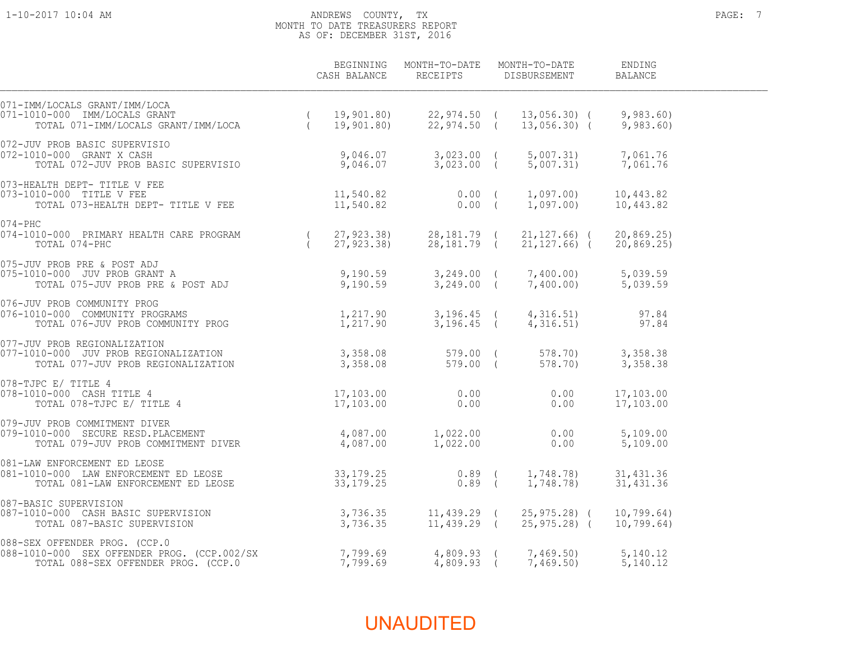#### 1-10-2017 10:04 AM ANDREWS COUNTY, TX PAGE: 7 MONTH TO DATE TREASURERS REPORT AS OF: DECEMBER 31ST, 2016

|                                                                                                                                                                                                                                                          | BEGINNING<br>CASH BALANCE | MONTH-TO-DATE<br>RECEIPTS  | MONTH-TO-DATE<br>DISBURSEMENT            | ENDING<br><b>BALANCE</b> |  |
|----------------------------------------------------------------------------------------------------------------------------------------------------------------------------------------------------------------------------------------------------------|---------------------------|----------------------------|------------------------------------------|--------------------------|--|
| 071-IMM/LOCALS GRANT/IMM/LOCA<br>11/10000 IMM/LOCALS GRANT<br>110-000 IMM/LOCALS GRANT (19,901.80) 22,974.50 (13,056.30) (9,983.60)<br>TOTAL 071-IMM/LOCALS GRANT/IMM/LOCA (19,901.80) 22,974.50 (13,056.30) (9,983.60)<br>071-1010-000 IMM/LOCALS GRANT |                           |                            |                                          |                          |  |
| 072-JUV PROB BASIC SUPERVISIO<br>9,046.07 3,023.00 (<br>10-000 GRANT X CASH 9,046.07 3,023.00 (<br>TOTAL 072-JUV PROB BASIC SUPERVISIO 9,046.07 3,023.00 (<br>072-1010-000 GRANT X CASH                                                                  |                           |                            | 5,007.31)<br>$5,007.31$ $7,061.76$       | 7,061.76                 |  |
| 073-HEALTH DEPT- TITLE V FEE<br>073-1010-000 TITLE V FEE<br>TOTAL 073-HEALTH DEPT- TITLE V FEE                                                                                                                                                           | 11,540.82<br>11,540.82    | $0.00$ (<br>$0.00$ (       | 1,097.00)<br>1,097.00)                   | 10,443.82<br>10,443.82   |  |
| $074 - PHC$<br>074-1010-000 PRIMARY HEALTH CARE PROGRAM<br>TOTAL 074-PHC                                                                                                                                                                                 | 27,923.38)<br>27,923.38)  | 28,181.79 (<br>28,181.79 ( | $21, 127.66$ ) (<br>$21, 127.66$ ) (     | 20, 869.25<br>20,869.25) |  |
| 075-JUV PROB PRE & POST ADJ<br>075-1010-000 JUV PROB GRANT A                             9,190.59       3,249.00 (     7,400.00)       5,039.59<br>075-1010-000 JUV PROB PRE & POST ADJ               9,190.59       3,249.00 (                          |                           |                            |                                          |                          |  |
|                                                                                                                                                                                                                                                          |                           | 3,196.45 (                 | 4, 316.51)<br>4,316.51)                  | 97.84<br>97.84           |  |
| 077-JUV PROB REGIONALIZATION<br>077-1010-000 JUV PROB REGIONALIZATION 3,358.08 579.00 (<br>TOTAL 077-JUV PROB REGIONALIZATION 3,358.08 579.00 (                                                                                                          |                           | 579.00 (                   | 578.70<br>578.70)                        | 3,358.38<br>3,358.38     |  |
| 078-TJPC E/ TITLE 4<br>JPC E/ TITLE 4<br>010-000 CASH TITLE 4 17,103.00<br>TOTAL 078-TJPC E/ TITLE 4 17,103.00<br>078-1010-000 CASH TITLE 4                                                                                                              |                           | 0.00<br>0.00               | 0.00<br>0.00                             | 17,103.00<br>17,103.00   |  |
| 079-JUV PROB COMMITMENT DIVER<br>079-1010-000 SECURE RESD.PLACEMENT 4,087.00 1,022.00<br>TOTAL 079-JUV PROB COMMITMENT DIVER 4,087.00 1,022.00                                                                                                           |                           |                            | 0.00<br>0.00                             | 5,109.00<br>5,109.00     |  |
|                                                                                                                                                                                                                                                          |                           | $0.89$ (<br>$0.89$ (       | 1,748.78)<br>1,748.78)                   | 31, 431.36<br>31,431.36  |  |
| 087-BASIC SUPERVISION<br>$\frac{1}{2}$<br>TOTAL 087-BASIC SUPERVISION 3,736.35<br>TOTAL 087-BASIC SUPERVISION<br>087-1010-000 CASH BASIC SUPERVISION                                                                                                     |                           | $11,439.29$ (              | 11,439.29 ( 25,975.28) (<br>25,975.28) ( | 10,799.64)<br>10,799.64) |  |
| 088-SEX OFFENDER PROG. (CCP.0<br>088-SEX OFFENDER PROG. (CCP.0<br>088-1010-000  SEX OFFENDER PROG. (CCP.002/SX                       7,799.69<br>TOTAL 088-SEX OFFENDER PROG. (CCP.0                             7,799.69                                |                           | 4,809.93 (<br>$4,809.93$ ( | 7,469.50<br>7,469.50)                    | 5,140.12<br>5,140.12     |  |